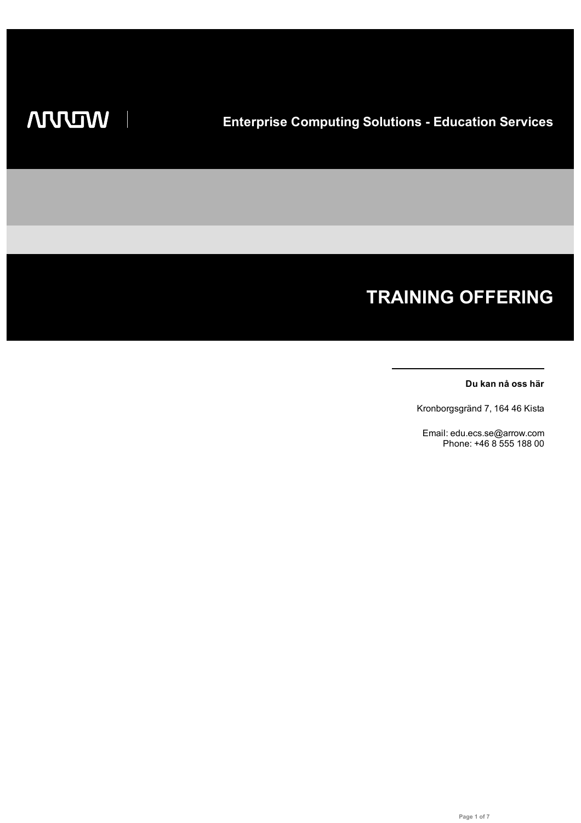# **TRAINING OFFERING**

#### **Du kan nå oss här**

Kronborgsgränd 7, 164 46 Kista

Email: edu.ecs.se@arrow.com Phone: +46 8 555 188 00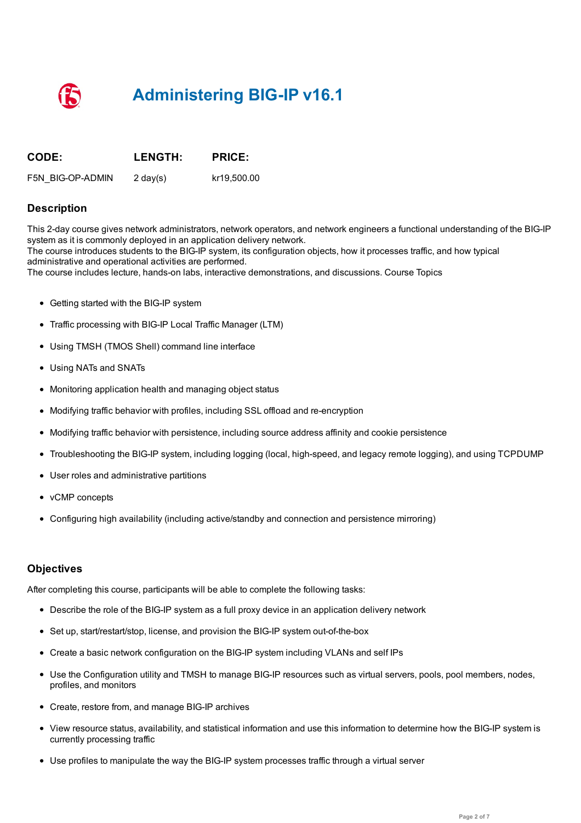# **Administering BIG-IP v16.1**

| <b>CODE:</b>     | <b>LENGTH:</b> | <b>PRICE:</b> |
|------------------|----------------|---------------|
| F5N BIG-OP-ADMIN | 2 day(s)       | kr19.500.00   |

#### **Description**

This 2-day course gives network administrators, network operators, and network engineers a functional understanding of the BIG-IP system as it is commonly deployed in an application delivery network. The course introduces students to the BIG-IP system, its configuration objects, how it processes traffic, and how typical administrative and operational activities are performed. The course includes lecture, hands-on labs, interactive demonstrations, and discussions. Course Topics

- Getting started with the BIG-IP system
- Traffic processing with BIG-IP Local Traffic Manager (LTM)
- Using TMSH (TMOS Shell) command line interface
- Using NATs and SNATs
- Monitoring application health and managing object status
- Modifying traffic behavior with profiles, including SSL offload and re-encryption
- Modifying traffic behavior with persistence, including source address affinity and cookie persistence
- Troubleshooting the BIG-IP system, including logging (local, high-speed, and legacy remote logging), and using TCPDUMP
- User roles and administrative partitions
- vCMP concepts
- Configuring high availability (including active/standby and connection and persistence mirroring)

#### **Objectives**

After completing this course, participants will be able to complete the following tasks:

- Describe the role of the BIG-IP system as a full proxy device in an application delivery network
- Set up, start/restart/stop, license, and provision the BIG-IP system out-of-the-box
- Create a basic network configuration on the BIG-IP system including VLANs and self IPs
- Use the Configuration utility and TMSH to manage BIG-IP resources such as virtual servers, pools, pool members, nodes, profiles, and monitors
- Create, restore from, and manage BIG-IP archives
- View resource status, availability, and statistical information and use this information to determine how the BIG-IP system is currently processing traffic
- Use profiles to manipulate the way the BIG-IP system processes traffic through a virtual server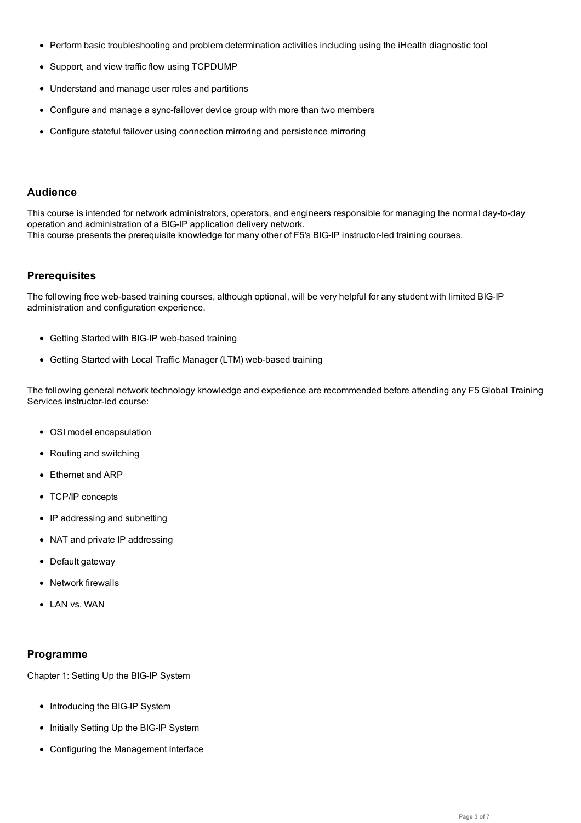- Perform basic troubleshooting and problem determination activities including using the iHealth diagnostic tool
- Support, and view traffic flow using TCPDUMP
- Understand and manage user roles and partitions
- Configure and manage a sync-failover device group with more than two members
- Configure stateful failover using connection mirroring and persistence mirroring

# **Audience**

This course is intended for network administrators, operators, and engineers responsible for managing the normal day-to-day operation and administration of a BIG-IP application delivery network. This course presents the prerequisite knowledge for many other of F5's BIG-IP instructor-led training courses.

#### **Prerequisites**

The following free web-based training courses, although optional, will be very helpful for any student with limited BIG-IP administration and configuration experience.

- Getting Started with BIG-IP web-based training
- Getting Started with Local Traffic Manager (LTM) web-based training

The following general network technology knowledge and experience are recommended before attending any F5 Global Training Services instructor-led course:

- OSI model encapsulation
- Routing and switching
- Ethernet and ARP
- TCP/IP concepts
- IP addressing and subnetting
- NAT and private IP addressing
- Default gateway
- Network firewalls
- LAN vs. WAN

#### **Programme**

Chapter 1: Setting Up the BIG-IP System

- Introducing the BIG-IP System
- Initially Setting Up the BIG-IP System
- Configuring the Management Interface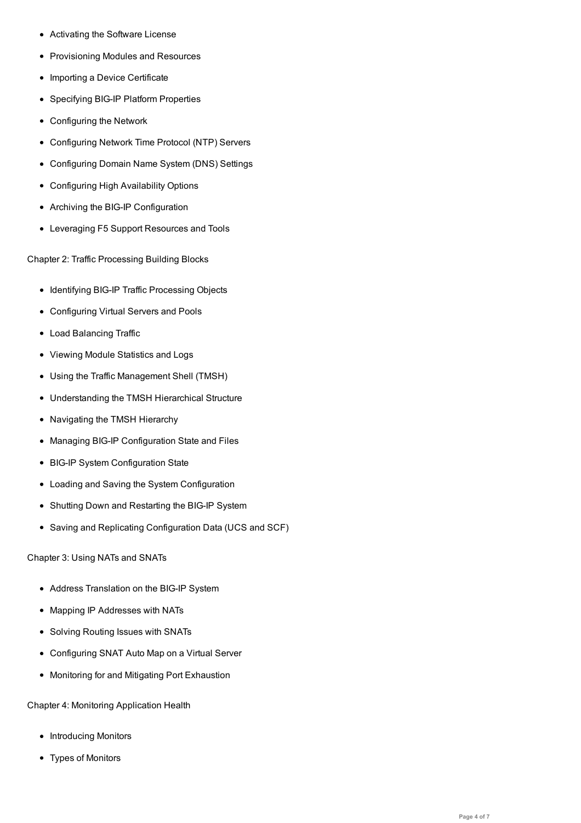- Provisioning Modules and Resources
- Importing a Device Certificate
- Specifying BIG-IP Platform Properties
- Configuring the Network
- Configuring Network Time Protocol (NTP) Servers
- Configuring Domain Name System (DNS) Settings
- Configuring High Availability Options
- Archiving the BIG-IP Configuration
- Leveraging F5 Support Resources and Tools

Chapter 2: Traffic Processing Building Blocks

- Identifying BIG-IP Traffic Processing Objects
- Configuring Virtual Servers and Pools
- Load Balancing Traffic
- Viewing Module Statistics and Logs
- Using the Traffic Management Shell (TMSH)
- Understanding the TMSH Hierarchical Structure
- Navigating the TMSH Hierarchy
- Managing BIG-IP Configuration State and Files
- BIG-IP System Configuration State
- Loading and Saving the System Configuration
- Shutting Down and Restarting the BIG-IP System
- Saving and Replicating Configuration Data (UCS and SCF)

Chapter 3: Using NATs and SNATs

- Address Translation on the BIG-IP System
- Mapping IP Addresses with NATs
- Solving Routing Issues with SNATs
- Configuring SNAT Auto Map on a Virtual Server
- Monitoring for and Mitigating Port Exhaustion

Chapter 4: Monitoring Application Health

- Introducing Monitors
- Types of Monitors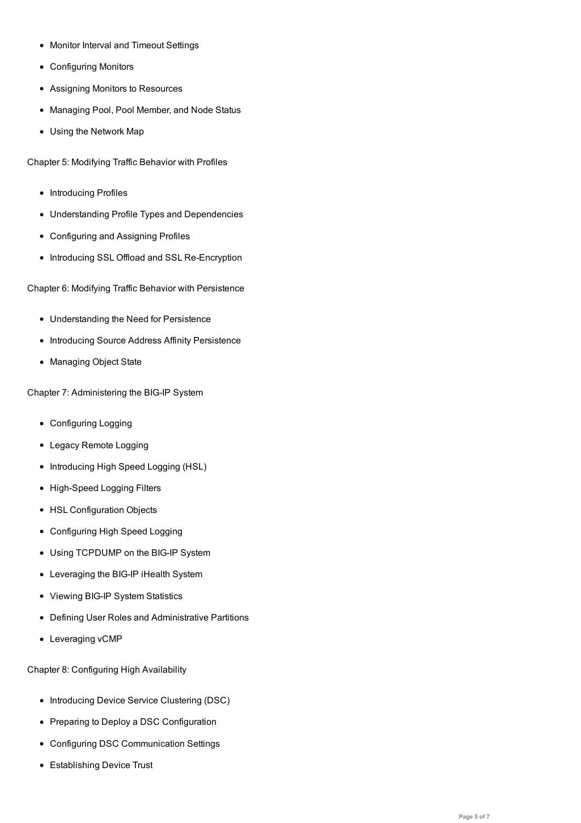- Configuring Monitors
- Assigning Monitors to Resources

Monitor Interval and Timeout Settings

- Managing Pool, Pool Member, and Node Status
- Using the Network Map

Chapter 5: Modifying Traffic Behavior with Profiles

- Introducing Profiles
- Understanding Profile Types and Dependencies
- Configuring and Assigning Profiles
- Introducing SSL Offload and SSL Re-Encryption

Chapter 6: Modifying Traffic Behavior with Persistence

- Understanding the Need for Persistence
- Introducing Source Address Affinity Persistence
- Managing Object State

Chapter 7: Administering the BIG-IP System

- Configuring Logging
- Legacy Remote Logging
- Introducing High Speed Logging (HSL)
- High-Speed Logging Filters
- HSL Configuration Objects
- Configuring High Speed Logging
- Using TCPDUMP on the BIG-IP System
- Leveraging the BIG-IP iHealth System
- Viewing BIG-IP System Statistics
- Defining User Roles and Administrative Partitions
- Leveraging vCMP

Chapter 8: Configuring High Availability

- Introducing Device Service Clustering (DSC)
- Preparing to Deploy a DSC Configuration
- Configuring DSC Communication Settings
- Establishing Device Trust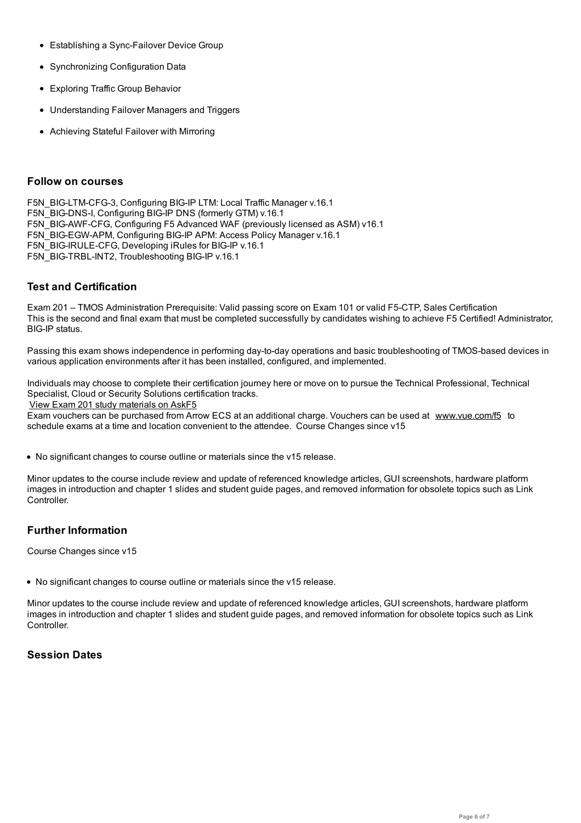- Establishing a Sync-Failover Device Group
- Synchronizing Configuration Data
- Exploring Traffic Group Behavior
- Understanding Failover Managers and Triggers
- Achieving Stateful Failover with Mirroring

#### **Follow on courses**

F5N\_BIG-LTM-CFG-3, Configuring BIG-IP LTM: Local Traffic Manager v.16.1 F5N\_BIG-DNS-I, Configuring BIG-IP DNS (formerly GTM) v.16.1 F5N\_BIG-AWF-CFG, Configuring F5 Advanced WAF (previously licensed as ASM) v16.1 F5N\_BIG-EGW-APM, Configuring BIG-IP APM: Access Policy Manager v.16.1 F5N\_BIG-IRULE-CFG, Developing iRules for BIG-IP v.16.1 F5N\_BIG-TRBL-INT2, Troubleshooting BIG-IP v.16.1

## **Test and Certification**

Exam 201 – TMOS Administration Prerequisite: Valid passing score on Exam 101 or valid F5-CTP, Sales Certification This is the second and final exam that must be completed successfully by candidates wishing to achieve F5 Certified! Administrator, BIG-IP status.

Passing this exam shows independence in performing day-to-day operations and basic troubleshooting of TMOS-based devices in various application environments after it has been installed, configured, and implemented.

Individuals may choose to complete their certification journey here or move on to pursue the Technical Professional, Technical Specialist, Cloud or Security Solutions certification tracks.

View Exam 201 study materials on AskF5

Exam vouchers can be purchased from Arrow ECS at an additional charge. Vouchers can be used at www.vue.com/f5 to schedule exams at a time and location convenient to the attendee. Course Changes since v15

No [significant](https://support.f5.com/csp/article/K29900360%23201) changes to course outline or materials since the v15 release.

Minor updates to the course include review and update of referenced knowledge articles, GUI screenshots, hardware platform images in introduction and chapter 1 slides and student guide pages, and removed information for obsolete topics such as Link Controller.

## **Further Information**

Course Changes since v15

No significant changes to course outline or materials since the v15 release.

Minor updates to the course include review and update of referenced knowledge articles, GUI screenshots, hardware platform images in introduction and chapter 1 slides and student guide pages, and removed information for obsolete topics such as Link Controller.

## **Session Dates**